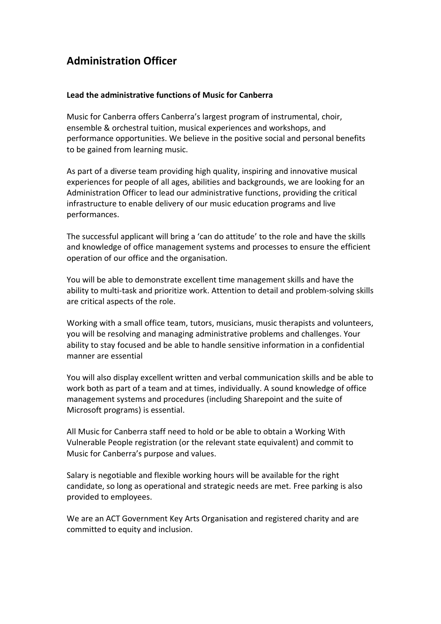## **Administration Officer**

## **Lead the administrative functions of Music for Canberra**

Music for Canberra offers Canberra's largest program of instrumental, choir, ensemble & orchestral tuition, musical experiences and workshops, and performance opportunities. We believe in the positive social and personal benefits to be gained from learning music.

As part of a diverse team providing high quality, inspiring and innovative musical experiences for people of all ages, abilities and backgrounds, we are looking for an Administration Officer to lead our administrative functions, providing the critical infrastructure to enable delivery of our music education programs and live performances.

The successful applicant will bring a 'can do attitude' to the role and have the skills and knowledge of office management systems and processes to ensure the efficient operation of our office and the organisation.

You will be able to demonstrate excellent time management skills and have the ability to multi-task and prioritize work. Attention to detail and problem-solving skills are critical aspects of the role.

Working with a small office team, tutors, musicians, music therapists and volunteers, you will be resolving and managing administrative problems and challenges. Your ability to stay focused and be able to handle sensitive information in a confidential manner are essential

You will also display excellent written and verbal communication skills and be able to work both as part of a team and at times, individually. A sound knowledge of office management systems and procedures (including Sharepoint and the suite of Microsoft programs) is essential.

All Music for Canberra staff need to hold or be able to obtain a Working With Vulnerable People registration (or the relevant state equivalent) and commit to Music for Canberra's purpose and values.

Salary is negotiable and flexible working hours will be available for the right candidate, so long as operational and strategic needs are met. Free parking is also provided to employees.

We are an ACT Government Key Arts Organisation and registered charity and are committed to equity and inclusion.